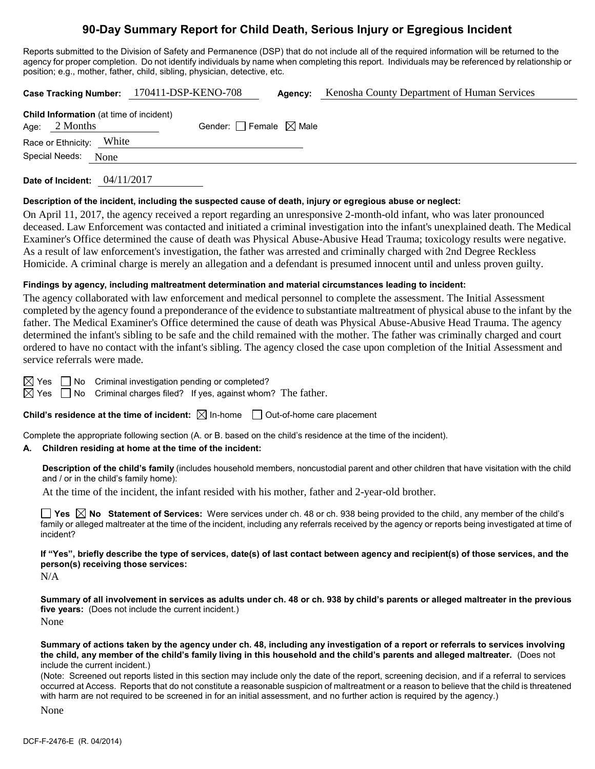# **90-Day Summary Report for Child Death, Serious Injury or Egregious Incident**

Reports submitted to the Division of Safety and Permanence (DSP) that do not include all of the required information will be returned to the agency for proper completion. Do not identify individuals by name when completing this report. Individuals may be referenced by relationship or position; e.g., mother, father, child, sibling, physician, detective, etc.

|                                                                   |      | Case Tracking Number: 170411-DSP-KENO-708 | Agency: | Kenosha County Department of Human Services |
|-------------------------------------------------------------------|------|-------------------------------------------|---------|---------------------------------------------|
| <b>Child Information</b> (at time of incident)<br>Age: $2$ Months |      | Gender: Female $\boxtimes$ Male           |         |                                             |
| Race or Ethnicity: White                                          |      |                                           |         |                                             |
| Special Needs:                                                    | None |                                           |         |                                             |
|                                                                   |      |                                           |         |                                             |

**Date of Incident:** 04/11/2017

### **Description of the incident, including the suspected cause of death, injury or egregious abuse or neglect:**

On April 11, 2017, the agency received a report regarding an unresponsive 2-month-old infant, who was later pronounced deceased. Law Enforcement was contacted and initiated a criminal investigation into the infant's unexplained death. The Medical Examiner's Office determined the cause of death was Physical Abuse-Abusive Head Trauma; toxicology results were negative. As a result of law enforcement's investigation, the father was arrested and criminally charged with 2nd Degree Reckless Homicide. A criminal charge is merely an allegation and a defendant is presumed innocent until and unless proven guilty.

### **Findings by agency, including maltreatment determination and material circumstances leading to incident:**

The agency collaborated with law enforcement and medical personnel to complete the assessment. The Initial Assessment completed by the agency found a preponderance of the evidence to substantiate maltreatment of physical abuse to the infant by the father. The Medical Examiner's Office determined the cause of death was Physical Abuse-Abusive Head Trauma. The agency determined the infant's sibling to be safe and the child remained with the mother. The father was criminally charged and court ordered to have no contact with the infant's sibling. The agency closed the case upon completion of the Initial Assessment and service referrals were made.

 $\boxtimes$  Yes  $\Box$  No Criminal investigation pending or completed?

 $\boxtimes$  Yes  $\Box$  No Criminal charges filed? If yes, against whom? The father.

## **Child's residence at the time of incident:**  $\boxtimes$  In-home  $\Box$  Out-of-home care placement

Complete the appropriate following section (A. or B. based on the child's residence at the time of the incident).

## **A. Children residing at home at the time of the incident:**

**Description of the child's family** (includes household members, noncustodial parent and other children that have visitation with the child and / or in the child's family home):

At the time of the incident, the infant resided with his mother, father and 2-year-old brother.

■ Yes △ No Statement of Services: Were services under ch. 48 or ch. 938 being provided to the child, any member of the child's family or alleged maltreater at the time of the incident, including any referrals received by the agency or reports being investigated at time of incident?

**If "Yes", briefly describe the type of services, date(s) of last contact between agency and recipient(s) of those services, and the person(s) receiving those services:**

N/A

**Summary of all involvement in services as adults under ch. 48 or ch. 938 by child's parents or alleged maltreater in the previous five years:** (Does not include the current incident.) None

**Summary of actions taken by the agency under ch. 48, including any investigation of a report or referrals to services involving the child, any member of the child's family living in this household and the child's parents and alleged maltreater.** (Does not include the current incident.)

(Note: Screened out reports listed in this section may include only the date of the report, screening decision, and if a referral to services occurred at Access. Reports that do not constitute a reasonable suspicion of maltreatment or a reason to believe that the child is threatened with harm are not required to be screened in for an initial assessment, and no further action is required by the agency.)

None